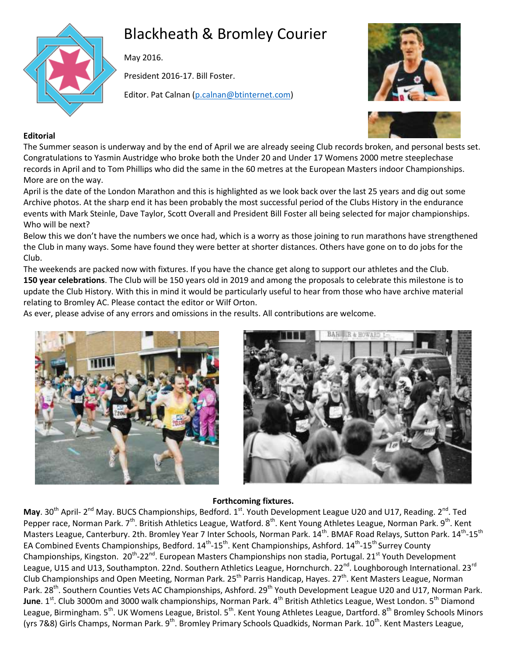

# Blackheath & Bromley Courier

May 2016.

President 2016-17. Bill Foster.

Editor. Pat Calnan [\(p.calnan@btinternet.com\)](mailto:p.calnan@btinternet.com)





# **Editorial**

The Summer season is underway and by the end of April we are already seeing Club records broken, and personal bests set. Congratulations to Yasmin Austridge who broke both the Under 20 and Under 17 Womens 2000 metre steeplechase records in April and to Tom Phillips who did the same in the 60 metres at the European Masters indoor Championships. More are on the way.

April is the date of the London Marathon and this is highlighted as we look back over the last 25 years and dig out some Archive photos. At the sharp end it has been probably the most successful period of the Clubs History in the endurance events with Mark Steinle, Dave Taylor, Scott Overall and President Bill Foster all being selected for major championships. Who will be next?

Below this we don't have the numbers we once had, which is a worry as those joining to run marathons have strengthened the Club in many ways. Some have found they were better at shorter distances. Others have gone on to do jobs for the Club.

The weekends are packed now with fixtures. If you have the chance get along to support our athletes and the Club. **150 year celebrations**. The Club will be 150 years old in 2019 and among the proposals to celebrate this milestone is to update the Club History. With this in mind it would be particularly useful to hear from those who have archive material relating to Bromley AC. Please contact the editor or Wilf Orton.

As ever, please advise of any errors and omissions in the results. All contributions are welcome.





# **Forthcoming fixtures.**

May. 30<sup>th</sup> April- 2<sup>nd</sup> May. BUCS Championships, Bedford. 1<sup>st</sup>. Youth Development League U20 and U17, Reading. 2<sup>nd</sup>. Ted Pepper race, Norman Park. 7<sup>th</sup>. British Athletics League, Watford. 8<sup>th</sup>. Kent Young Athletes League, Norman Park. 9<sup>th</sup>. Kent Masters League, Canterbury. 2th. Bromley Year 7 Inter Schools, Norman Park. 14<sup>th</sup>. BMAF Road Relays, Sutton Park. 14<sup>th</sup>-15<sup>th</sup> EA Combined Events Championships, Bedford. 14<sup>th</sup>-15<sup>th</sup>. Kent Championships, Ashford. 14<sup>th</sup>-15<sup>th</sup> Surrey County Championships, Kingston. 20<sup>th</sup>-22<sup>nd</sup>. European Masters Championships non stadia, Portugal. 21<sup>st</sup> Youth Development League, U15 and U13, Southampton. 22nd. Southern Athletics League, Hornchurch. 22<sup>nd</sup>. Loughborough International. 23<sup>rd</sup> Club Championships and Open Meeting, Norman Park. 25<sup>th</sup> Parris Handicap, Hayes. 27<sup>th</sup>. Kent Masters League, Norman Park. 28<sup>th</sup>. Southern Counties Vets AC Championships, Ashford. 29<sup>th</sup> Youth Development League U20 and U17, Norman Park. June. 1<sup>st</sup>. Club 3000m and 3000 walk championships, Norman Park. 4<sup>th</sup> British Athletics League, West London. 5<sup>th</sup> Diamond League, Birmingham. 5<sup>th</sup>. UK Womens League, Bristol. 5<sup>th</sup>. Kent Young Athletes League, Dartford. 8<sup>th</sup> Bromley Schools Minors (yrs 7&8) Girls Champs, Norman Park. 9<sup>th</sup>. Bromley Primary Schools Quadkids, Norman Park. 10<sup>th</sup>. Kent Masters League,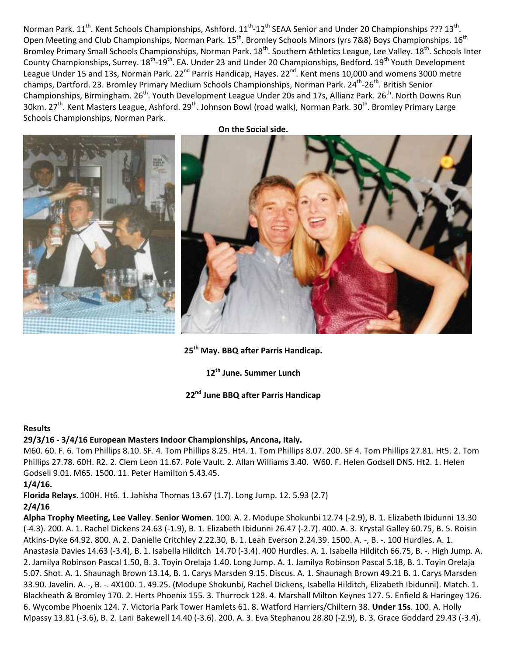Norman Park. 11<sup>th</sup>. Kent Schools Championships, Ashford. 11<sup>th</sup>-12<sup>th</sup> SEAA Senior and Under 20 Championships ??? 13<sup>th</sup>. Open Meeting and Club Championships, Norman Park. 15<sup>th</sup>. Bromley Schools Minors (yrs 7&8) Boys Championships. 16<sup>th</sup> Bromley Primary Small Schools Championships, Norman Park. 18<sup>th</sup>. Southern Athletics League, Lee Valley. 18<sup>th</sup>. Schools Inter County Championships, Surrey. 18<sup>th</sup>-19<sup>th</sup>. EA. Under 23 and Under 20 Championships, Bedford. 19<sup>th</sup> Youth Development League Under 15 and 13s, Norman Park. 22<sup>nd</sup> Parris Handicap, Hayes. 22<sup>nd</sup>. Kent mens 10,000 and womens 3000 metre champs, Dartford. 23. Bromley Primary Medium Schools Championships, Norman Park. 24<sup>th</sup>-26<sup>th</sup>. British Senior Championships, Birmingham. 26<sup>th</sup>. Youth Development League Under 20s and 17s, Allianz Park. 26<sup>th</sup>. North Downs Run 30km. 27<sup>th</sup>. Kent Masters League, Ashford. 29<sup>th</sup>. Johnson Bowl (road walk), Norman Park. 30<sup>th</sup>. Bromley Primary Large Schools Championships, Norman Park.



**25th May. BBQ after Parris Handicap.**

**12th June. Summer Lunch**

# **22nd June BBQ after Parris Handicap**

#### **Results**

#### **29/3/16 - 3/4/16 European Masters Indoor Championships, Ancona, Italy.**

M60. 60. F. 6. Tom Phillips 8.10. SF. 4. Tom Phillips 8.25. Ht4. 1. Tom Phillips 8.07. 200. SF 4. Tom Phillips 27.81. Ht5. 2. Tom Phillips 27.78. 60H. R2. 2. Clem Leon 11.67. Pole Vault. 2. Allan Williams 3.40. W60. F. Helen Godsell DNS. Ht2. 1. Helen Godsell 9.01. M65. 1500. 11. Peter Hamilton 5.43.45.

**1/4/16.** 

**Florida Relays**. 100H. Ht6. 1. Jahisha Thomas 13.67 (1.7). Long Jump. 12. 5.93 (2.7)

#### **2/4/16**

**Alpha Trophy Meeting, Lee Valley**. **Senior Women**. 100. A. 2. Modupe Shokunbi 12.74 (-2.9), B. 1. Elizabeth Ibidunni 13.30 (-4.3). 200. A. 1. Rachel Dickens 24.63 (-1.9), B. 1. Elizabeth Ibidunni 26.47 (-2.7). 400. A. 3. Krystal Galley 60.75, B. 5. Roisin Atkins-Dyke 64.92. 800. A. 2. Danielle Critchley 2.22.30, B. 1. Leah Everson 2.24.39. 1500. A. -, B. -. 100 Hurdles. A. 1. Anastasia Davies 14.63 (-3.4), B. 1. Isabella Hilditch 14.70 (-3.4). 400 Hurdles. A. 1. Isabella Hilditch 66.75, B. -. High Jump. A. 2. Jamilya Robinson Pascal 1.50, B. 3. Toyin Orelaja 1.40. Long Jump. A. 1. Jamilya Robinson Pascal 5.18, B. 1. Toyin Orelaja 5.07. Shot. A. 1. Shaunagh Brown 13.14, B. 1. Carys Marsden 9.15. Discus. A. 1. Shaunagh Brown 49.21 B. 1. Carys Marsden 33.90. Javelin. A. -, B. -. 4X100. 1. 49.25. (Modupe Shokunbi, Rachel Dickens, Isabella Hilditch, Elizabeth Ibidunni). Match. 1. Blackheath & Bromley 170. 2. Herts Phoenix 155. 3. Thurrock 128. 4. Marshall Milton Keynes 127. 5. Enfield & Haringey 126. 6. Wycombe Phoenix 124. 7. Victoria Park Tower Hamlets 61. 8. Watford Harriers/Chiltern 38. **Under 15s**. 100. A. Holly Mpassy 13.81 (-3.6), B. 2. Lani Bakewell 14.40 (-3.6). 200. A. 3. Eva Stephanou 28.80 (-2.9), B. 3. Grace Goddard 29.43 (-3.4).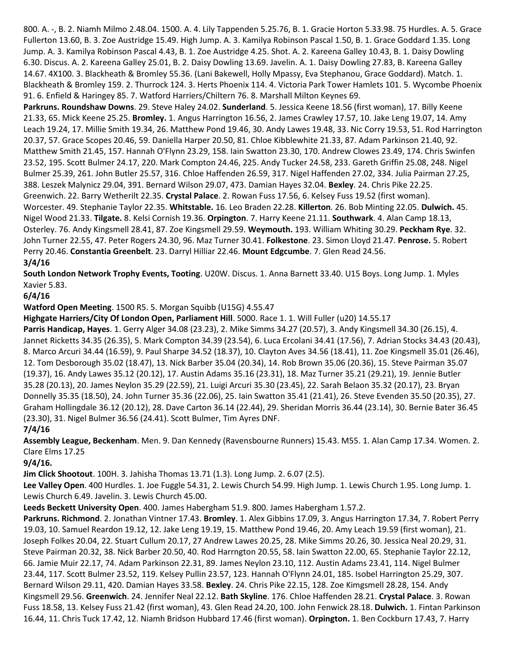800. A. -, B. 2. Niamh Milmo 2.48.04. 1500. A. 4. Lily Tappenden 5.25.76, B. 1. Gracie Horton 5.33.98. 75 Hurdles. A. 5. Grace Fullerton 13.60, B. 3. Zoe Austridge 15.49. High Jump. A. 3. Kamilya Robinson Pascal 1.50, B. 1. Grace Goddard 1.35. Long Jump. A. 3. Kamilya Robinson Pascal 4.43, B. 1. Zoe Austridge 4.25. Shot. A. 2. Kareena Galley 10.43, B. 1. Daisy Dowling 6.30. Discus. A. 2. Kareena Galley 25.01, B. 2. Daisy Dowling 13.69. Javelin. A. 1. Daisy Dowling 27.83, B. Kareena Galley 14.67. 4X100. 3. Blackheath & Bromley 55.36. (Lani Bakewell, Holly Mpassy, Eva Stephanou, Grace Goddard). Match. 1. Blackheath & Bromley 159. 2. Thurrock 124. 3. Herts Phoenix 114. 4. Victoria Park Tower Hamlets 101. 5. Wycombe Phoenix 91. 6. Enfield & Haringey 85. 7. Watford Harriers/Chiltern 76. 8. Marshall Milton Keynes 69.

**Parkruns. Roundshaw Downs**. 29. Steve Haley 24.02. **Sunderland**. 5. Jessica Keene 18.56 (first woman), 17. Billy Keene 21.33, 65. Mick Keene 25.25. **Bromley.** 1. Angus Harrington 16.56, 2. James Crawley 17.57, 10. Jake Leng 19.07, 14. Amy Leach 19.24, 17. Millie Smith 19.34, 26. Matthew Pond 19.46, 30. Andy Lawes 19.48, 33. Nic Corry 19.53, 51. Rod Harrington 20.37, 57. Grace Scopes 20.46, 59. Daniella Harper 20.50, 81. Chloe Kibblewhite 21.33, 87. Adam Parkinson 21.40, 92. Matthew Smith 21.45, 157. Hannah O'Flynn 23.29, 158. Iain Swatton 23.30, 170. Andrew Clowes 23.49, 174. Chris Swinfen 23.52, 195. Scott Bulmer 24.17, 220. Mark Compton 24.46, 225. Andy Tucker 24.58, 233. Gareth Griffin 25.08, 248. Nigel Bulmer 25.39, 261. John Butler 25.57, 316. Chloe Haffenden 26.59, 317. Nigel Haffenden 27.02, 334. Julia Pairman 27.25, 388. Leszek Malynicz 29.04, 391. Bernard Wilson 29.07, 473. Damian Hayes 32.04. **Bexley**. 24. Chris Pike 22.25. Greenwich. 22. Barry Wetherilt 22.35. **Crystal Palace**. 2. Rowan Fuss 17.56, 6. Kelsey Fuss 19.52 (first woman). Worcester. 49. Stephanie Taylor 22.35. **Whitstable.** 16. Leo Braden 22.28. **Killerton**. 26. Bob Minting 22.05. **Dulwich.** 45. Nigel Wood 21.33. **Tilgate.** 8. Kelsi Cornish 19.36. **Orpington**. 7. Harry Keene 21.11. **Southwark**. 4. Alan Camp 18.13, Osterley. 76. Andy Kingsmell 28.41, 87. Zoe Kingsmell 29.59. **Weymouth.** 193. William Whiting 30.29. **Peckham Rye**. 32. John Turner 22.55, 47. Peter Rogers 24.30, 96. Maz Turner 30.41. **Folkestone**. 23. Simon Lloyd 21.47. **Penrose.** 5. Robert Perry 20.46. **Constantia Greenbelt**. 23. Darryl Hilliar 22.46. **Mount Edgcumbe**. 7. Glen Read 24.56. **3/4/16**

**South London Network Trophy Events, Tooting**. U20W. Discus. 1. Anna Barnett 33.40. U15 Boys. Long Jump. 1. Myles Xavier 5.83.

# **6/4/16**

**Watford Open Meeting**. 1500 R5. 5. Morgan Squibb (U15G) 4.55.47

**Highgate Harriers/City Of London Open, Parliament Hill**. 5000. Race 1. 1. Will Fuller (u20) 14.55.17

**Parris Handicap, Hayes**. 1. Gerry Alger 34.08 (23.23), 2. Mike Simms 34.27 (20.57), 3. Andy Kingsmell 34.30 (26.15), 4. Jannet Ricketts 34.35 (26.35), 5. Mark Compton 34.39 (23.54), 6. Luca Ercolani 34.41 (17.56), 7. Adrian Stocks 34.43 (20.43), 8. Marco Arcuri 34.44 (16.59), 9. Paul Sharpe 34.52 (18.37), 10. Clayton Aves 34.56 (18.41), 11. Zoe Kingsmell 35.01 (26.46), 12. Tom Desborough 35.02 (18.47), 13. Nick Barber 35.04 (20.34), 14. Rob Brown 35.06 (20.36), 15. Steve Pairman 35.07 (19.37), 16. Andy Lawes 35.12 (20.12), 17. Austin Adams 35.16 (23.31), 18. Maz Turner 35.21 (29.21), 19. Jennie Butler 35.28 (20.13), 20. James Neylon 35.29 (22.59), 21. Luigi Arcuri 35.30 (23.45), 22. Sarah Belaon 35.32 (20.17), 23. Bryan Donnelly 35.35 (18.50), 24. John Turner 35.36 (22.06), 25. Iain Swatton 35.41 (21.41), 26. Steve Evenden 35.50 (20.35), 27. Graham Hollingdale 36.12 (20.12), 28. Dave Carton 36.14 (22.44), 29. Sheridan Morris 36.44 (23.14), 30. Bernie Bater 36.45 (23.30), 31. Nigel Bulmer 36.56 (24.41). Scott Bulmer, Tim Ayres DNF.

# **7/4/16**

**Assembly League, Beckenham**. Men. 9. Dan Kennedy (Ravensbourne Runners) 15.43. M55. 1. Alan Camp 17.34. Women. 2. Clare Elms 17.25

**9/4/16.** 

**Jim Click Shootout**. 100H. 3. Jahisha Thomas 13.71 (1.3). Long Jump. 2. 6.07 (2.5).

**Lee Valley Open**. 400 Hurdles. 1. Joe Fuggle 54.31, 2. Lewis Church 54.99. High Jump. 1. Lewis Church 1.95. Long Jump. 1. Lewis Church 6.49. Javelin. 3. Lewis Church 45.00.

**Leeds Beckett University Open**. 400. James Habergham 51.9. 800. James Habergham 1.57.2.

**Parkruns. Richmond**. 2. Jonathan Vintner 17.43. **Bromley**. 1. Alex Gibbins 17.09, 3. Angus Harrington 17.34, 7. Robert Perry 19.03, 10. Samuel Reardon 19.12, 12. Jake Leng 19.19, 15. Matthew Pond 19.46, 20. Amy Leach 19.59 (first woman), 21. Joseph Folkes 20.04, 22. Stuart Cullum 20.17, 27 Andrew Lawes 20.25, 28. Mike Simms 20.26, 30. Jessica Neal 20.29, 31. Steve Pairman 20.32, 38. Nick Barber 20.50, 40. Rod Harrngton 20.55, 58. Iain Swatton 22.00, 65. Stephanie Taylor 22.12, 66. Jamie Muir 22.17, 74. Adam Parkinson 22.31, 89. James Neylon 23.10, 112. Austin Adams 23.41, 114. Nigel Bulmer 23.44, 117. Scott Bulmer 23.52, 119. Kelsey Pullin 23.57, 123. Hannah O'Flynn 24.01, 185. Isobel Harrington 25.29, 307. Bernard Wilson 29.11, 420. Damian Hayes 33.58. **Bexley**. 24. Chris Pike 22.15, 128. Zoe Kimgsmell 28.28, 154. Andy Kingsmell 29.56. **Greenwich**. 24. Jennifer Neal 22.12. **Bath Skyline**. 176. Chloe Haffenden 28.21. **Crystal Palace**. 3. Rowan Fuss 18.58, 13. Kelsey Fuss 21.42 (first woman), 43. Glen Read 24.20, 100. John Fenwick 28.18. **Dulwich.** 1. Fintan Parkinson 16.44, 11. Chris Tuck 17.42, 12. Niamh Bridson Hubbard 17.46 (first woman). **Orpington.** 1. Ben Cockburn 17.43, 7. Harry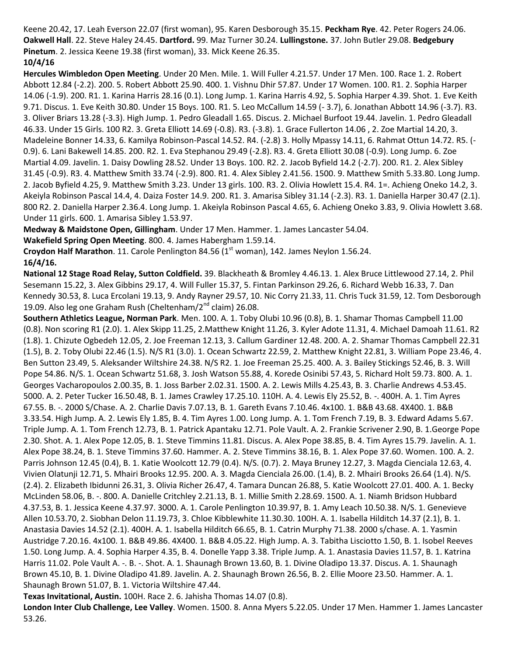Keene 20.42, 17. Leah Everson 22.07 (first woman), 95. Karen Desborough 35.15. **Peckham Rye**. 42. Peter Rogers 24.06. **Oakwell Hall**. 22. Steve Haley 24.45. **Dartford.** 99. Maz Turner 30.24. **Lullingstone.** 37. John Butler 29.08. **Bedgebury Pinetum**. 2. Jessica Keene 19.38 (first woman), 33. Mick Keene 26.35. **10/4/16**

**Hercules Wimbledon Open Meeting**. Under 20 Men. Mile. 1. Will Fuller 4.21.57. Under 17 Men. 100. Race 1. 2. Robert Abbott 12.84 (-2.2). 200. 5. Robert Abbott 25.90. 400. 1. Vishnu Dhir 57.87. Under 17 Women. 100. R1. 2. Sophia Harper 14.06 (-1.9). 200. R1. 1. Karina Harris 28.16 (0.1). Long Jump. 1. Karina Harris 4.92, 5. Sophia Harper 4.39. Shot. 1. Eve Keith 9.71. Discus. 1. Eve Keith 30.80. Under 15 Boys. 100. R1. 5. Leo McCallum 14.59 (- 3.7), 6. Jonathan Abbott 14.96 (-3.7). R3. 3. Oliver Briars 13.28 (-3.3). High Jump. 1. Pedro Gleadall 1.65. Discus. 2. Michael Burfoot 19.44. Javelin. 1. Pedro Gleadall 46.33. Under 15 Girls. 100 R2. 3. Greta Elliott 14.69 (-0.8). R3. (-3.8). 1. Grace Fullerton 14.06 , 2. Zoe Martial 14.20, 3. Madeleine Bonner 14.33, 6. Kamilya Robinson-Pascal 14.52. R4. (-2.8) 3. Holly Mpassy 14.11, 6. Rahmat Ottun 14.72. R5. (- 0.9). 6. Lani Bakewell 14.85. 200. R2. 1. Eva Stephanou 29.49 (-2.8). R3. 4. Greta Elliott 30.08 (-0.9). Long Jump. 6. Zoe Martial 4.09. Javelin. 1. Daisy Dowling 28.52. Under 13 Boys. 100. R2. 2. Jacob Byfield 14.2 (-2.7). 200. R1. 2. Alex Sibley 31.45 (-0.9). R3. 4. Matthew Smith 33.74 (-2.9). 800. R1. 4. Alex Sibley 2.41.56. 1500. 9. Matthew Smith 5.33.80. Long Jump. 2. Jacob Byfield 4.25, 9. Matthew Smith 3.23. Under 13 girls. 100. R3. 2. Olivia Howlett 15.4. R4. 1=. Achieng Oneko 14.2, 3. Akeiyla Robinson Pascal 14.4, 4. Daiza Foster 14.9. 200. R1. 3. Amarisa Sibley 31.14 (-2.3). R3. 1. Daniella Harper 30.47 (2.1). 800 R2. 2. Daniella Harper 2.36.4. Long Jump. 1. Akeiyla Robinson Pascal 4.65, 6. Achieng Oneko 3.83, 9. Olivia Howlett 3.68. Under 11 girls. 600. 1. Amarisa Sibley 1.53.97.

**Medway & Maidstone Open, Gillingham**. Under 17 Men. Hammer. 1. James Lancaster 54.04.

**Wakefield Spring Open Meeting**. 800. 4. James Habergham 1.59.14.

**Croydon Half Marathon**. 11. Carole Penlington 84.56 (1<sup>st</sup> woman), 142. James Neylon 1.56.24. **16/4/16.** 

**National 12 Stage Road Relay, Sutton Coldfield.** 39. Blackheath & Bromley 4.46.13. 1. Alex Bruce Littlewood 27.14, 2. Phil Sesemann 15.22, 3. Alex Gibbins 29.17, 4. Will Fuller 15.37, 5. Fintan Parkinson 29.26, 6. Richard Webb 16.33, 7. Dan Kennedy 30.53, 8. Luca Ercolani 19.13, 9. Andy Rayner 29.57, 10. Nic Corry 21.33, 11. Chris Tuck 31.59, 12. Tom Desborough 19.09. Also leg one Graham Rush (Cheltenham/ $2<sup>nd</sup>$  claim) 26.08.

**Southern Athletics League, Norman Park**. Men. 100. A. 1. Toby Olubi 10.96 (0.8), B. 1. Shamar Thomas Campbell 11.00 (0.8). Non scoring R1 (2.0). 1. Alex Skipp 11.25, 2.Matthew Knight 11.26, 3. Kyler Adote 11.31, 4. Michael Damoah 11.61. R2 (1.8). 1. Chizute Ogbedeh 12.05, 2. Joe Freeman 12.13, 3. Callum Gardiner 12.48. 200. A. 2. Shamar Thomas Campbell 22.31 (1.5), B. 2. Toby Olubi 22.46 (1.5). N/S R1 (3.0). 1. Ocean Schwartz 22.59, 2. Matthew Knight 22.81, 3. William Pope 23.46, 4. Ben Sutton 23.49, 5. Aleksander Wiltshire 24.38. N/S R2. 1. Joe Freeman 25.25. 400. A. 3. Bailey Stickings 52.46, B. 3. Will Pope 54.86. N/S. 1. Ocean Schwartz 51.68, 3. Josh Watson 55.88, 4. Korede Osinibi 57.43, 5. Richard Holt 59.73. 800. A. 1. Georges Vacharopoulos 2.00.35, B. 1. Joss Barber 2.02.31. 1500. A. 2. Lewis Mills 4.25.43, B. 3. Charlie Andrews 4.53.45. 5000. A. 2. Peter Tucker 16.50.48, B. 1. James Crawley 17.25.10. 110H. A. 4. Lewis Ely 25.52, B. -. 400H. A. 1. Tim Ayres 67.55. B. -. 2000 S/Chase. A. 2. Charlie Davis 7.07.13, B. 1. Gareth Evans 7.10.46. 4x100. 1. B&B 43.68. 4X400. 1. B&B 3.33.54. High Jump. A. 2. Lewis Ely 1.85, B. 4. Tim Ayres 1.00. Long Jump. A. 1. Tom French 7.19, B. 3. Edward Adams 5.67. Triple Jump. A. 1. Tom French 12.73, B. 1. Patrick Apantaku 12.71. Pole Vault. A. 2. Frankie Scrivener 2.90, B. 1.George Pope 2.30. Shot. A. 1. Alex Pope 12.05, B. 1. Steve Timmins 11.81. Discus. A. Alex Pope 38.85, B. 4. Tim Ayres 15.79. Javelin. A. 1. Alex Pope 38.24, B. 1. Steve Timmins 37.60. Hammer. A. 2. Steve Timmins 38.16, B. 1. Alex Pope 37.60. Women. 100. A. 2. Parris Johnson 12.45 (0.4), B. 1. Katie Woolcott 12.79 (0.4). N/S. (0.7). 2. Maya Bruney 12.27, 3. Magda Cienciala 12.63, 4. Vivien Olatunji 12.71, 5. Mhairi Brooks 12.95. 200. A. 3. Magda Cienciala 26.00. (1.4), B. 2. Mhairi Brooks 26.64 (1.4). N/S. (2.4). 2. Elizabeth Ibidunni 26.31, 3. Olivia Richer 26.47, 4. Tamara Duncan 26.88, 5. Katie Woolcott 27.01. 400. A. 1. Becky McLinden 58.06, B. -. 800. A. Danielle Critchley 2.21.13, B. 1. Millie Smith 2.28.69. 1500. A. 1. Niamh Bridson Hubbard 4.37.53, B. 1. Jessica Keene 4.37.97. 3000. A. 1. Carole Penlington 10.39.97, B. 1. Amy Leach 10.50.38. N/S. 1. Genevieve Allen 10.53.70, 2. Siobhan Delon 11.19.73, 3. Chloe Kibblewhite 11.30.30. 100H. A. 1. Isabella Hilditch 14.37 (2.1), B. 1. Anastasia Davies 14.52 (2.1). 400H. A. 1. Isabella Hilditch 66.65, B. 1. Catrin Murphy 71.38. 2000 s/chase. A. 1. Yasmin Austridge 7.20.16. 4x100. 1. B&B 49.86. 4X400. 1. B&B 4.05.22. High Jump. A. 3. Tabitha Lisciotto 1.50, B. 1. Isobel Reeves 1.50. Long Jump. A. 4. Sophia Harper 4.35, B. 4. Donelle Yapp 3.38. Triple Jump. A. 1. Anastasia Davies 11.57, B. 1. Katrina Harris 11.02. Pole Vault A. -. B. -. Shot. A. 1. Shaunagh Brown 13.60, B. 1. Divine Oladipo 13.37. Discus. A. 1. Shaunagh Brown 45.10, B. 1. Divine Oladipo 41.89. Javelin. A. 2. Shaunagh Brown 26.56, B. 2. Ellie Moore 23.50. Hammer. A. 1. Shaunagh Brown 51.07, B. 1. Victoria Wiltshire 47.44.

**Texas Invitational, Austin.** 100H. Race 2. 6. Jahisha Thomas 14.07 (0.8).

**London Inter Club Challenge, Lee Valley**. Women. 1500. 8. Anna Myers 5.22.05. Under 17 Men. Hammer 1. James Lancaster 53.26.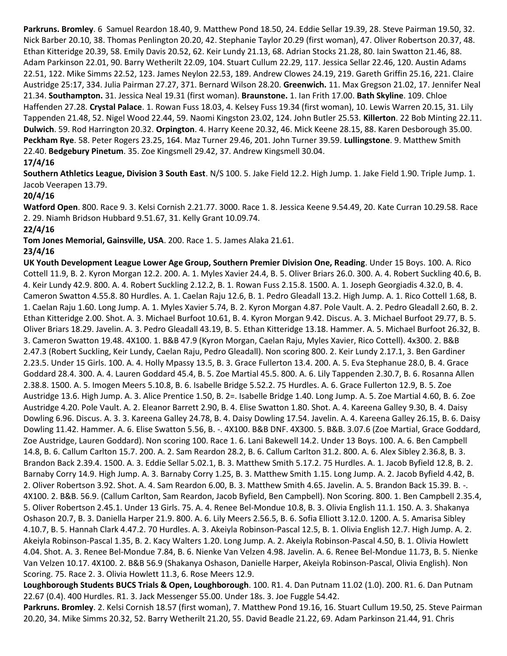**Parkruns. Bromley**. 6 Samuel Reardon 18.40, 9. Matthew Pond 18.50, 24. Eddie Sellar 19.39, 28. Steve Pairman 19.50, 32. Nick Barber 20.10, 38. Thomas Penlington 20.20, 42. Stephanie Taylor 20.29 (first woman), 47. Oliver Robertson 20.37, 48. Ethan Kitteridge 20.39, 58. Emily Davis 20.52, 62. Keir Lundy 21.13, 68. Adrian Stocks 21.28, 80. Iain Swatton 21.46, 88. Adam Parkinson 22.01, 90. Barry Wetherilt 22.09, 104. Stuart Cullum 22.29, 117. Jessica Sellar 22.46, 120. Austin Adams 22.51, 122. Mike Simms 22.52, 123. James Neylon 22.53, 189. Andrew Clowes 24.19, 219. Gareth Griffin 25.16, 221. Claire Austridge 25:17, 334. Julia Pairman 27.27, 371. Bernard Wilson 28.20. **Greenwich.** 11. Max Gregson 21.02, 17. Jennifer Neal 21.34. **Southampton.** 31. Jessica Neal 19.31 (first woman). **Braunstone.** 1. Ian Frith 17.00. **Bath Skyline**. 109. Chloe Haffenden 27.28. **Crystal Palace**. 1. Rowan Fuss 18.03, 4. Kelsey Fuss 19.34 (first woman), 10. Lewis Warren 20.15, 31. Lily Tappenden 21.48, 52. Nigel Wood 22.44, 59. Naomi Kingston 23.02, 124. John Butler 25.53. **Killerton**. 22 Bob Minting 22.11. **Dulwich**. 59. Rod Harrington 20.32. **Orpington**. 4. Harry Keene 20.32, 46. Mick Keene 28.15, 88. Karen Desborough 35.00. **Peckham Rye**. 58. Peter Rogers 23.25, 164. Maz Turner 29.46, 201. John Turner 39.59. **Lullingstone**. 9. Matthew Smith 22.40. **Bedgebury Pinetum**. 35. Zoe Kingsmell 29.42, 37. Andrew Kingsmell 30.04.

# **17/4/16**

**Southern Athletics League, Division 3 South East**. N/S 100. 5. Jake Field 12.2. High Jump. 1. Jake Field 1.90. Triple Jump. 1. Jacob Veerapen 13.79.

#### **20/4/16**

**Watford Open**. 800. Race 9. 3. Kelsi Cornish 2.21.77. 3000. Race 1. 8. Jessica Keene 9.54.49, 20. Kate Curran 10.29.58. Race 2. 29. Niamh Bridson Hubbard 9.51.67, 31. Kelly Grant 10.09.74. **22/4/16**

**Tom Jones Memorial, Gainsville, USA**. 200. Race 1. 5. James Alaka 21.61.

# **23/4/16**

**UK Youth Development League Lower Age Group, Southern Premier Division One, Reading**. Under 15 Boys. 100. A. Rico Cottell 11.9, B. 2. Kyron Morgan 12.2. 200. A. 1. Myles Xavier 24.4, B. 5. Oliver Briars 26.0. 300. A. 4. Robert Suckling 40.6, B. 4. Keir Lundy 42.9. 800. A. 4. Robert Suckling 2.12.2, B. 1. Rowan Fuss 2.15.8. 1500. A. 1. Joseph Georgiadis 4.32.0, B. 4. Cameron Swatton 4.55.8. 80 Hurdles. A. 1. Caelan Raju 12.6, B. 1. Pedro Gleadall 13.2. High Jump. A. 1. Rico Cottell 1.68, B. 1. Caelan Raju 1.60. Long Jump. A. 1. Myles Xavier 5.74, B. 2. Kyron Morgan 4.87. Pole Vault. A. 2. Pedro Gleadall 2.60, B. 2. Ethan Kitteridge 2.00. Shot. A. 3. Michael Burfoot 10.61, B. 4. Kyron Morgan 9.42. Discus. A. 3. Michael Burfoot 29.77, B. 5. Oliver Briars 18.29. Javelin. A. 3. Pedro Gleadall 43.19, B. 5. Ethan Kitteridge 13.18. Hammer. A. 5. Michael Burfoot 26.32, B. 3. Cameron Swatton 19.48. 4X100. 1. B&B 47.9 (Kyron Morgan, Caelan Raju, Myles Xavier, Rico Cottell). 4x300. 2. B&B 2.47.3 (Robert Suckling, Keir Lundy, Caelan Raju, Pedro Gleadall). Non scoring 800. 2. Keir Lundy 2.17.1, 3. Ben Gardiner 2.23.5. Under 15 Girls. 100. A. 4. Holly Mpassy 13.5, B. 3. Grace Fullerton 13.4. 200. A. 5. Eva Stephanue 28.0, B. 4. Grace Goddard 28.4. 300. A. 4. Lauren Goddard 45.4, B. 5. Zoe Martial 45.5. 800. A. 6. Lily Tappenden 2.30.7, B. 6. Rosanna Allen 2.38.8. 1500. A. 5. Imogen Meers 5.10.8, B. 6. Isabelle Bridge 5.52.2. 75 Hurdles. A. 6. Grace Fullerton 12.9, B. 5. Zoe Austridge 13.6. High Jump. A. 3. Alice Prentice 1.50, B. 2=. Isabelle Bridge 1.40. Long Jump. A. 5. Zoe Martial 4.60, B. 6. Zoe Austridge 4.20. Pole Vault. A. 2. Eleanor Barrett 2.90, B. 4. Elise Swatton 1.80. Shot. A. 4. Kareena Galley 9.30, B. 4. Daisy Dowling 6.96. Discus. A. 3. 3. Kareena Galley 24.78, B. 4. Daisy Dowling 17.54. Javelin. A. 4. Kareena Galley 26.15, B. 6. Daisy Dowling 11.42. Hammer. A. 6. Elise Swatton 5.56, B. -. 4X100. B&B DNF. 4X300. 5. B&B. 3.07.6 (Zoe Martial, Grace Goddard, Zoe Austridge, Lauren Goddard). Non scoring 100. Race 1. 6. Lani Bakewell 14.2. Under 13 Boys. 100. A. 6. Ben Campbell 14.8, B. 6. Callum Carlton 15.7. 200. A. 2. Sam Reardon 28.2, B. 6. Callum Carlton 31.2. 800. A. 6. Alex Sibley 2.36.8, B. 3. Brandon Back 2.39.4. 1500. A. 3. Eddie Sellar 5.02.1, B. 3. Matthew Smith 5.17.2. 75 Hurdles. A. 1. Jacob Byfield 12.8, B. 2. Barnaby Corry 14.9. High Jump. A. 3. Barnaby Corry 1.25, B. 3. Matthew Smith 1.15. Long Jump. A. 2. Jacob Byfield 4.42, B. 2. Oliver Robertson 3.92. Shot. A. 4. Sam Reardon 6.00, B. 3. Matthew Smith 4.65. Javelin. A. 5. Brandon Back 15.39. B. -. 4X100. 2. B&B. 56.9. (Callum Carlton, Sam Reardon, Jacob Byfield, Ben Campbell). Non Scoring. 800. 1. Ben Campbell 2.35.4, 5. Oliver Robertson 2.45.1. Under 13 Girls. 75. A. 4. Renee Bel-Mondue 10.8, B. 3. Olivia English 11.1. 150. A. 3. Shakanya Oshason 20.7, B. 3. Daniella Harper 21.9. 800. A. 6. Lily Meers 2.56.5, B. 6. Sofia Elliott 3.12.0. 1200. A. 5. Amarisa Sibley 4.10.7, B. 5. Hannah Clark 4.47.2. 70 Hurdles. A. 3. Akeiyla Robinson-Pascal 12.5, B. 1. Olivia English 12.7. High Jump. A. 2. Akeiyla Robinson-Pascal 1.35, B. 2. Kacy Walters 1.20. Long Jump. A. 2. Akeiyla Robinson-Pascal 4.50, B. 1. Olivia Howlett 4.04. Shot. A. 3. Renee Bel-Mondue 7.84, B. 6. Nienke Van Velzen 4.98. Javelin. A. 6. Renee Bel-Mondue 11.73, B. 5. Nienke Van Velzen 10.17. 4X100. 2. B&B 56.9 (Shakanya Oshason, Danielle Harper, Akeiyla Robinson-Pascal, Olivia English). Non Scoring. 75. Race 2. 3. Olivia Howlett 11.3, 6. Rose Meers 12.9.

**Loughborough Students BUCS Trials & Open, Loughborough**. 100. R1. 4. Dan Putnam 11.02 (1.0). 200. R1. 6. Dan Putnam 22.67 (0.4). 400 Hurdles. R1. 3. Jack Messenger 55.00. Under 18s. 3. Joe Fuggle 54.42.

**Parkruns. Bromley**. 2. Kelsi Cornish 18.57 (first woman), 7. Matthew Pond 19.16, 16. Stuart Cullum 19.50, 25. Steve Pairman 20.20, 34. Mike Simms 20.32, 52. Barry Wetherilt 21.20, 55. David Beadle 21.22, 69. Adam Parkinson 21.44, 91. Chris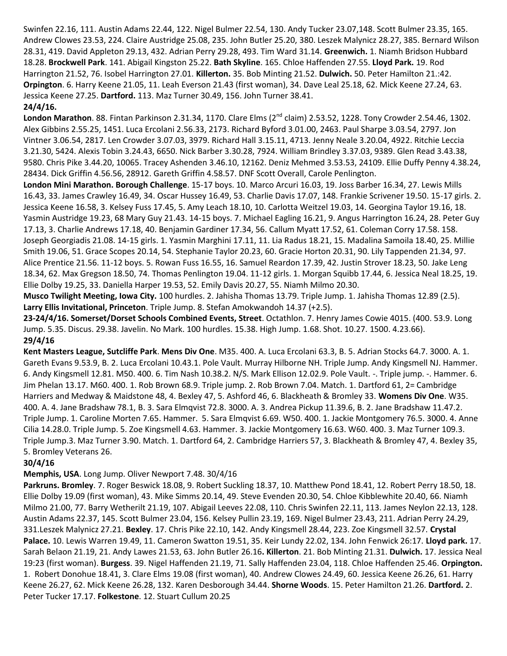Swinfen 22.16, 111. Austin Adams 22.44, 122. Nigel Bulmer 22.54, 130. Andy Tucker 23.07,148. Scott Bulmer 23.35, 165. Andrew Clowes 23.53, 224. Claire Austridge 25.08, 235. John Butler 25.20, 380. Leszek Malynicz 28.27, 385. Bernard Wilson 28.31, 419. David Appleton 29.13, 432. Adrian Perry 29.28, 493. Tim Ward 31.14. **Greenwich.** 1. Niamh Bridson Hubbard 18.28. **Brockwell Park**. 141. Abigail Kingston 25.22. **Bath Skyline**. 165. Chloe Haffenden 27.55. **Lloyd Park.** 19. Rod Harrington 21.52, 76. Isobel Harrington 27.01. **Killerton.** 35. Bob Minting 21.52. **Dulwich.** 50. Peter Hamilton 21.:42. **Orpington**. 6. Harry Keene 21.05, 11. Leah Everson 21.43 (first woman), 34. Dave Leal 25.18, 62. Mick Keene 27.24, 63. Jessica Keene 27.25. **Dartford.** 113. Maz Turner 30.49, 156. John Turner 38.41.

#### **24/4/16.**

London Marathon. 88. Fintan Parkinson 2.31.34, 1170. Clare Elms (2<sup>nd</sup> claim) 2.53.52, 1228. Tony Crowder 2.54.46, 1302. Alex Gibbins 2.55.25, 1451. Luca Ercolani 2.56.33, 2173. Richard Byford 3.01.00, 2463. Paul Sharpe 3.03.54, 2797. Jon Vintner 3.06.54, 2817. Len Crowder 3.07.03, 3979. Richard Hall 3.15.11, 4713. Jenny Neale 3.20.04, 4922. Ritchie Leccia 3.21.30, 5424. Alexis Tobin 3.24.43, 6650. Nick Barber 3.30.28, 7924. William Brindley 3.37.03, 9389. Glen Read 3.43.38, 9580. Chris Pike 3.44.20, 10065. Tracey Ashenden 3.46.10, 12162. Deniz Mehmed 3.53.53, 24109. Ellie Duffy Penny 4.38.24, 28434. Dick Griffin 4.56.56, 28912. Gareth Griffin 4.58.57. DNF Scott Overall, Carole Penlington.

**London Mini Marathon. Borough Challenge**. 15-17 boys. 10. Marco Arcuri 16.03, 19. Joss Barber 16.34, 27. Lewis Mills 16.43, 33. James Crawley 16.49, 34. Oscar Hussey 16.49, 53. Charlie Davis 17.07, 148. Frankie Scrivener 19.50. 15-17 girls. 2. Jessica Keene 16.58, 3. Kelsey Fuss 17.45, 5. Amy Leach 18.10, 10. Carlotta Weitzel 19.03, 14. Georgina Taylor 19.16, 18. Yasmin Austridge 19.23, 68 Mary Guy 21.43. 14-15 boys. 7. Michael Eagling 16.21, 9. Angus Harrington 16.24, 28. Peter Guy 17.13, 3. Charlie Andrews 17.18, 40. Benjamin Gardiner 17.34, 56. Callum Myatt 17.52, 61. Coleman Corry 17.58. 158. Joseph Georgiadis 21.08. 14-15 girls. 1. Yasmin Marghini 17.11, 11. Lia Radus 18.21, 15. Madalina Samoila 18.40, 25. Millie Smith 19.06, 51. Grace Scopes 20.14, 54. Stephanie Taylor 20.23, 60. Gracie Horton 20.31, 90. Lily Tappenden 21.34, 97. Alice Prentice 21.56. 11-12 boys. 5. Rowan Fuss 16.55, 16. Samuel Reardon 17.39, 42. Justin Strover 18.23, 50. Jake Leng 18.34, 62. Max Gregson 18.50, 74. Thomas Penlington 19.04. 11-12 girls. 1. Morgan Squibb 17.44, 6. Jessica Neal 18.25, 19. Ellie Dolby 19.25, 33. Daniella Harper 19.53, 52. Emily Davis 20.27, 55. Niamh Milmo 20.30.

**Musco Twilight Meeting, Iowa City.** 100 hurdles. 2. Jahisha Thomas 13.79. Triple Jump. 1. Jahisha Thomas 12.89 (2.5). **Larry Ellis Invitational, Princeton**. Triple Jump. 8. Stefan Amokwandoh 14.37 (+2.5).

**23-24/4/16. Somerset/Dorset Schools Combined Events, Street**. Octathlon. 7. Henry James Cowie 4015. (400. 53.9. Long Jump. 5.35. Discus. 29.38. Javelin. No Mark. 100 hurdles. 15.38. High Jump. 1.68. Shot. 10.27. 1500. 4.23.66). **29/4/16**

**Kent Masters League, Sutcliffe Park**. **Mens Div One**. M35. 400. A. Luca Ercolani 63.3, B. 5. Adrian Stocks 64.7. 3000. A. 1. Gareth Evans 9.53.9, B. 2. Luca Ercolani 10.43.1. Pole Vault. Murray Hilborne NH. Triple Jump. Andy Kingsmell NJ. Hammer. 6. Andy Kingsmell 12.81. M50. 400. 6. Tim Nash 10.38.2. N/S. Mark Ellison 12.02.9. Pole Vault. -. Triple jump. -. Hammer. 6. Jim Phelan 13.17. M60. 400. 1. Rob Brown 68.9. Triple jump. 2. Rob Brown 7.04. Match. 1. Dartford 61, 2= Cambridge Harriers and Medway & Maidstone 48, 4. Bexley 47, 5. Ashford 46, 6. Blackheath & Bromley 33. **Womens Div One**. W35. 400. A. 4. Jane Bradshaw 78.1, B. 3. Sara Elmqvist 72.8. 3000. A. 3. Andrea Pickup 11.39.6, B. 2. Jane Bradshaw 11.47.2. Triple Jump. 1. Caroline Morten 7.65. Hammer. 5. Sara Elmqvist 6.69. W50. 400. 1. Jackie Montgomery 76.5. 3000. 4. Anne Cilia 14.28.0. Triple Jump. 5. Zoe Kingsmell 4.63. Hammer. 3. Jackie Montgomery 16.63. W60. 400. 3. Maz Turner 109.3. Triple Jump.3. Maz Turner 3.90. Match. 1. Dartford 64, 2. Cambridge Harriers 57, 3. Blackheath & Bromley 47, 4. Bexley 35, 5. Bromley Veterans 26.

# **30/4/16**

# **Memphis, USA**. Long Jump. Oliver Newport 7.48. 30/4/16

**Parkruns. Bromley**. 7. Roger Beswick 18.08, 9. Robert Suckling 18.37, 10. Matthew Pond 18.41, 12. Robert Perry 18.50, 18. Ellie Dolby 19.09 (first woman), 43. Mike Simms 20.14, 49. Steve Evenden 20.30, 54. Chloe Kibblewhite 20.40, 66. Niamh Milmo 21.00, 77. Barry Wetherilt 21.19, 107. Abigail Leeves 22.08, 110. Chris Swinfen 22.11, 113. James Neylon 22.13, 128. Austin Adams 22.37, 145. Scott Bulmer 23.04, 156. Kelsey Pullin 23.19, 169. Nigel Bulmer 23.43, 211. Adrian Perry 24.29, 331.Leszek Malynicz 27.21. **Bexley**. 17. Chris Pike 22.10, 142. Andy Kingsmell 28.44, 223. Zoe Kingsmell 32.57. **Crystal Palace.** 10. Lewis Warren 19.49, 11. Cameron Swatton 19.51, 35. Keir Lundy 22.02, 134. John Fenwick 26:17. **Lloyd park.** 17. Sarah Belaon 21.19, 21. Andy Lawes 21.53, 63. John Butler 26.16**. Killerton**. 21. Bob Minting 21.31. **Dulwich.** 17. Jessica Neal 19:23 (first woman). **Burgess**. 39. Nigel Haffenden 21.19, 71. Sally Haffenden 23.04, 118. Chloe Haffenden 25.46. **Orpington.** 1. Robert Donohue 18.41, 3. Clare Elms 19.08 (first woman), 40. Andrew Clowes 24.49, 60. Jessica Keene 26.26, 61. Harry Keene 26.27, 62. Mick Keene 26.28, 132. Karen Desborough 34.44. **Shorne Woods**. 15. Peter Hamilton 21.26. **Dartford.** 2. Peter Tucker 17.17. **Folkestone**. 12. Stuart Cullum 20.25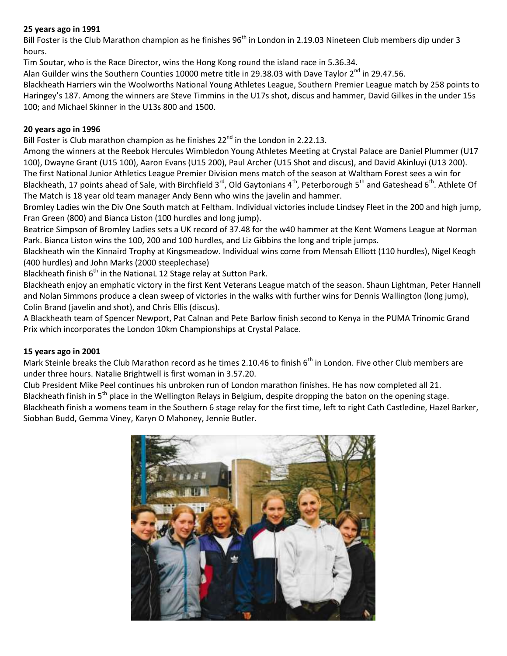# **25 years ago in 1991**

Bill Foster is the Club Marathon champion as he finishes 96<sup>th</sup> in London in 2.19.03 Nineteen Club members dip under 3 hours.

Tim Soutar, who is the Race Director, wins the Hong Kong round the island race in 5.36.34.

Alan Guilder wins the Southern Counties 10000 metre title in 29.38.03 with Dave Taylor  $2^{nd}$  in 29.47.56.

Blackheath Harriers win the Woolworths National Young Athletes League, Southern Premier League match by 258 points to Haringey's 187. Among the winners are Steve Timmins in the U17s shot, discus and hammer, David Gilkes in the under 15s 100; and Michael Skinner in the U13s 800 and 1500.

# **20 years ago in 1996**

Bill Foster is Club marathon champion as he finishes  $22^{nd}$  in the London in 2.22.13.

Among the winners at the Reebok Hercules Wimbledon Young Athletes Meeting at Crystal Palace are Daniel Plummer (U17 100), Dwayne Grant (U15 100), Aaron Evans (U15 200), Paul Archer (U15 Shot and discus), and David Akinluyi (U13 200). The first National Junior Athletics League Premier Division mens match of the season at Waltham Forest sees a win for Blackheath, 17 points ahead of Sale, with Birchfield 3<sup>rd</sup>, Old Gaytonians 4<sup>th</sup>, Peterborough 5<sup>th</sup> and Gateshead 6<sup>th</sup>. Athlete Of The Match is 18 year old team manager Andy Benn who wins the javelin and hammer.

Bromley Ladies win the Div One South match at Feltham. Individual victories include Lindsey Fleet in the 200 and high jump, Fran Green (800) and Bianca Liston (100 hurdles and long jump).

Beatrice Simpson of Bromley Ladies sets a UK record of 37.48 for the w40 hammer at the Kent Womens League at Norman Park. Bianca Liston wins the 100, 200 and 100 hurdles, and Liz Gibbins the long and triple jumps.

Blackheath win the Kinnaird Trophy at Kingsmeadow. Individual wins come from Mensah Elliott (110 hurdles), Nigel Keogh (400 hurdles) and John Marks (2000 steeplechase)

Blackheath finish  $6<sup>th</sup>$  in the National 12 Stage relay at Sutton Park.

Blackheath enjoy an emphatic victory in the first Kent Veterans League match of the season. Shaun Lightman, Peter Hannell and Nolan Simmons produce a clean sweep of victories in the walks with further wins for Dennis Wallington (long jump), Colin Brand (javelin and shot), and Chris Ellis (discus).

A Blackheath team of Spencer Newport, Pat Calnan and Pete Barlow finish second to Kenya in the PUMA Trinomic Grand Prix which incorporates the London 10km Championships at Crystal Palace.

# **15 years ago in 2001**

Mark Steinle breaks the Club Marathon record as he times 2.10.46 to finish  $6<sup>th</sup>$  in London. Five other Club members are under three hours. Natalie Brightwell is first woman in 3.57.20.

Club President Mike Peel continues his unbroken run of London marathon finishes. He has now completed all 21. Blackheath finish in 5<sup>th</sup> place in the Wellington Relays in Belgium, despite dropping the baton on the opening stage. Blackheath finish a womens team in the Southern 6 stage relay for the first time, left to right Cath Castledine, Hazel Barker, Siobhan Budd, Gemma Viney, Karyn O Mahoney, Jennie Butler.